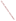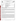| UNITED STA,<br>ENVIRONME                                                                                       | UNITED STATES ENVIRONMENTAL PROTECTION AGENCY<br>Office of Research and Development<br>Washington, DC 20460<br>ETV |
|----------------------------------------------------------------------------------------------------------------|--------------------------------------------------------------------------------------------------------------------|
| <sup>4</sup> L PROTEC<br><b>ENVIRONMENTAL TECHNOLOGY VERIFICATION PROGRAM</b><br><b>VERIFICATION STATEMENT</b> |                                                                                                                    |
| <b>TECHNOLOGY TYPE:</b>                                                                                        | <b>SEDIMENT SAMPLER</b>                                                                                            |
| <b>APPLICATION:</b>                                                                                            | <b>CORE SAMPLING OF SEDIMENT</b>                                                                                   |
| <b>TECHNOLOGY NAME:</b>                                                                                        | <b>AQUATIC RESEARCH INSTRUMENTS RUSSIAN PEAT BORER</b>                                                             |
| <b>COMPANY:</b><br><b>ADDRESS:</b>                                                                             | <b>AQUATIC RESEARCH INSTRUMENTS</b><br><b>1 HAYDEN CREEK ROAD</b><br>LEMHI, IDAHO 83466                            |
| <b>WEB SITE:</b>                                                                                               | http://www.aquaticresearch.com                                                                                     |
| TELEPHONE:                                                                                                     | (208) 756-8433                                                                                                     |

### **VERIFICATION PROGRAM DESCRIPTION**

The U.S. Environmental Protection Agency (EPA) created the Superfund Innovative Technology Evaluation (SITE) and Environmental Technology Verification (ETV) Programs to facilitate deployment of innovative technologies through performance verification and information dissemination. The goal of these programs is to further environmental protection by substantially accelerating the acceptance and use of improved and cost-effective technologies. These programs assist and inform those involved in design, distribution, permitting, and purchase of environmental technologies. This document summarizes results of a demonstration of the Russian Peat Borer designed and fabricated by Aquatic Research Instruments.

#### **PROGRAM OPERATION**

Under the SITE and ETV Programs, with the full participation of the technology developers, the EPA evaluates and documents the performance of innovative technologies by developing demonstration plans, conducting field tests, collecting and analyzing demonstration data, and preparing reports. The technologies are evaluated under rigorous quality assurance (QA) protocols to produce well-documented data of known quality. The EPA National Exposure Research Laboratory, which demonstrates field sampling, monitoring, and measurement technologies, selected Tetra Tech EM Inc. as the verification organization to assist in field testing two sediment sampling technologies. This demonstration was funded by the SITE Program.

#### **DEMONSTRATION DESCRIPTION**

In April and May 1999, the EPA conducted a field demonstration of the Russian Peat Borer along with one other sediment sampler. This verification statement focuses on the Russian Peat Borer; a similar statement has been prepared for the other sampler. The performance and cost of the Russian Peat Borer were compared to those of two conventional samplers (the Hand Corer and Vibrocorer), which were used as reference samplers. To verify a wide range of performance attributes, the Russian Peat Borer demonstration had both primary and secondary objectives. Primary objectives for this demonstration included evaluating the sampler's ability to (1) consistently collect a given volume of sediment, (2) consistently collect sediment in a given depth interval, (3) collect samples with consistent characteristics from a homogenous layer of sediment, (4) collect a representative sample from a clean sediment layer below a contaminated sediment layer, and (5) be adequately decontaminated. Additional primary objectives were to measure sampling time and estimate sampling costs. Secondary objectives included (1) documenting the skills and training required for sampler operation, (2) evaluating the sampler's ability to collect samples under a variety of site conditions, (3) assessing the sampler's ability to collect an undisturbed sample, (4) evaluating sampler durability, and (5) documenting the availability of the sampler and its spare parts. To ensure data usability, data quality indicators for precision, accuracy, representativeness, completeness, and comparability were also assessed based on project-specific QA objectives.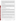The Russian Peat Borer was demonstrated at sites in EPA Regions 1 and 5. At the Region 1 site, the sampler was demonstrated in a lake and wetland. At the Region 5 site, the sampler was demonstrated in a river mouth and freshwater bay. Collectively, the two sites provided multiple sampling areas with the different water depths, sediment types, sediment contaminant characteristics, and sediment thicknesses necessary to properly evaluate the sampler. Based on the predemonstration investigation results, demonstration objectives, and site support facilities available, (1) the Hand Corer was used as the reference sampler in the lake, wetland, and freshwater bay and (2) the Vibrocorer was used as the reference sampler in the river mouth. A complete description of the demonstration and a summary of its results are available in the "Innovative Technology Verification Report: Sediment Sampling Technology—Aquatic Research Instruments Russian Peat Borer" (EPA/600/R-01/010).

# **TECHNOLOGY DESCRIPTION**

The Russian Peat Borer is a manually driven, chambered-type, side-filling core sampler designed to collect discrete, relatively uncompressed sediment samples. Sampler components include a stainless-steel core tube, aluminum extension rods, a stainless-steel turning handle, and a Delrin® core head and bottom point that support a stainless-steel cover plate. The cover plate and bottom point are sharpened to minimize sediment disturbance during sampler deployment. The core tube is hinged to the cover plate by two pivot pins at the top and bottom of the plate. Support equipment for the sampler may include a slide-hammer mechanism to aid sampler deployment and retrieval in consolidated sediment. To collect a sediment sample, the Russian Peat Borer is manually inserted into sediment, and the core tube is turned 180 degrees clockwise. This procedure allows the core tube to rotate and its sharp edge to longitudinally cut through the sediment, collecting a semicylindrical sediment core. While the core tube is manually turned, the stainless-steel cover plate provides support so that the collected material is retained in the core tube.

## **VERIFICATION OF PERFORMANCE**

Key demonstration findings are summarized below for the primary objectives.

*Consistently Collecting a Given Volume of Sediment*: In the shallow depth interval (0 to 4 inches below sediment surface [bss]), to collect a specified number of samples, the Russian Peat Borer required 33 percent more attempts than expected (65 actual versus 49 expected), whereas the reference samplers required 14 percent more attempts than expected (49 actual versus 43 expected). In the moderate depth interval (4 to 32 inches bss), the Russian Peat Borer required 21 percent more attempts than expected (46 actual versus 38 expected), but the reference samplers required 156 percent more attempts than expected (64 actual versus 25 expected).

For the shallow depth interval, mean sample recoveries ranging from 71 to 84 percent were achieved by the Russian Peat Borer, whereas mean sample recoveries for the reference samplers ranged from 85 to 100 percent. The variation in sample recoveries as measured by their relative standard deviations (RSD) ranged from 26 to 42 percent for the Russian Peat Borer, whereas the reference samplers' RSDs ranged from 0 to 33 percent. For the moderate depth interval, mean sample recoveries ranging from 75 to 101 percent were achieved by the Russian Peat Borer, whereas the reference samplers' mean sample recoveries ranged from 21 to 82 percent. The RSDs for the Russian Peat Borer ranged from 6 to 31 percent, whereas the reference samplers' RSDs ranged from 3 to 161 percent. (Note: sample recoveries exceeding 100 percent resulted from the volumetric measurement error associated with the presence of void spaces when the sediment was transferred to a graduated container.)

*Consistently Collecting Sediment in a Given Depth Interval*: The Russian Peat Borer collected samples in all depth intervals and demonstration areas, which contained various sediment types. The reference samplers were unable to collect samples in the deep depth interval (4 to 11 feet bss). For the shallow depth interval, the Russian Peat Borer's actual core lengths equaled the target core length in 98 percent of the total sampling attempts. The reference samplers' actual core lengths equaled the target core length in 94 percent of the total sampling attempts. However, the results for the samplers were significantly different for the moderate depth interval: 93 percent for the Russian Peat Borer compared to 13 percent for the reference samplers.

*Collecting Samples with Consistent Characteristics from a Homogenous Layer of Sediment*: Based on particle size distribution results, both the Russian Peat Borer and reference samplers collected samples with consistent physical characteristics from two homogenous layers of sediment (a sandy silt layer and a clayey silt layer).

*Collecting a Representative Sample from a Clean Sediment Layer Below a Contaminated Sediment Layer*: The Russian Peat Borer collected samples from a clean sediment layer below a contaminated sediment layer that were at least as representative as the samples collected from the clean layer by the reference sampler (the Hand Corer); contaminant concentrations in the samples collected by both samplers were not statistically different at a significance level of 0.05.